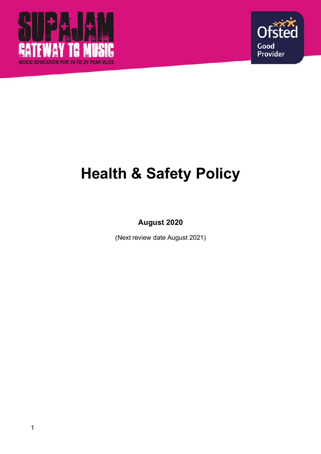



# **Health & Safety Policy**

**August 2020**

(Next review date August 2021)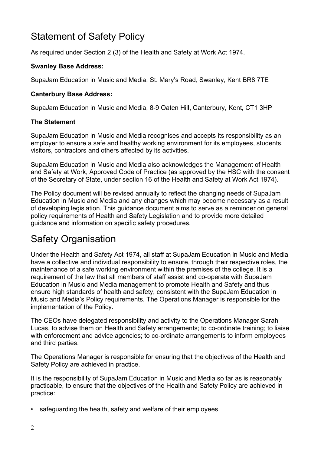# Statement of Safety Policy

As required under Section 2 (3) of the Health and Safety at Work Act 1974.

### **Swanley Base Address:**

SupaJam Education in Music and Media, St. Mary's Road, Swanley, Kent BR8 7TE

#### **Canterbury Base Address:**

SupaJam Education in Music and Media, 8-9 Oaten Hill, Canterbury, Kent, CT1 3HP

#### **The Statement**

SupaJam Education in Music and Media recognises and accepts its responsibility as an employer to ensure a safe and healthy working environment for its employees, students, visitors, contractors and others affected by its activities.

SupaJam Education in Music and Media also acknowledges the Management of Health and Safety at Work, Approved Code of Practice (as approved by the HSC with the consent of the Secretary of State, under section 16 of the Health and Safety at Work Act 1974).

The Policy document will be revised annually to reflect the changing needs of SupaJam Education in Music and Media and any changes which may become necessary as a result of developing legislation. This guidance document aims to serve as a reminder on general policy requirements of Health and Safety Legislation and to provide more detailed guidance and information on specific safety procedures.

# Safety Organisation

Under the Health and Safety Act 1974, all staff at SupaJam Education in Music and Media have a collective and individual responsibility to ensure, through their respective roles, the maintenance of a safe working environment within the premises of the college. It is a requirement of the law that all members of staff assist and co-operate with SupaJam Education in Music and Media management to promote Health and Safety and thus ensure high standards of health and safety, consistent with the SupaJam Education in Music and Media's Policy requirements. The Operations Manager is responsible for the implementation of the Policy.

The CEOs have delegated responsibility and activity to the Operations Manager Sarah Lucas, to advise them on Health and Safety arrangements; to co-ordinate training; to liaise with enforcement and advice agencies; to co-ordinate arrangements to inform employees and third parties.

The Operations Manager is responsible for ensuring that the objectives of the Health and Safety Policy are achieved in practice.

It is the responsibility of SupaJam Education in Music and Media so far as is reasonably practicable, to ensure that the objectives of the Health and Safety Policy are achieved in practice:

• safeguarding the health, safety and welfare of their employees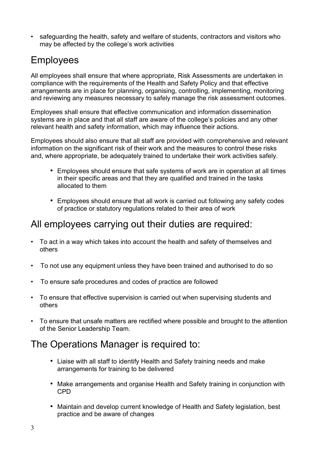• safeguarding the health, safety and welfare of students, contractors and visitors who may be affected by the college's work activities

# Employees

All employees shall ensure that where appropriate, Risk Assessments are undertaken in compliance with the requirements of the Health and Safety Policy and that effective arrangements are in place for planning, organising, controlling, implementing, monitoring and reviewing any measures necessary to safely manage the risk assessment outcomes.

Employees shall ensure that effective communication and information dissemination systems are in place and that all staff are aware of the college's policies and any other relevant health and safety information, which may influence their actions.

Employees should also ensure that all staff are provided with comprehensive and relevant information on the significant risk of their work and the measures to control these risks and, where appropriate, be adequately trained to undertake their work activities safely.

- Employees should ensure that safe systems of work are in operation at all times in their specific areas and that they are qualified and trained in the tasks allocated to them
- Employees should ensure that all work is carried out following any safety codes of practice or statutory regulations related to their area of work

## All employees carrying out their duties are required:

- To act in a way which takes into account the health and safety of themselves and others
- To not use any equipment unless they have been trained and authorised to do so
- To ensure safe procedures and codes of practice are followed
- To ensure that effective supervision is carried out when supervising students and others
- To ensure that unsafe matters are rectified where possible and brought to the attention of the Senior Leadership Team.

## The Operations Manager is required to:

- Liaise with all staff to identify Health and Safety training needs and make arrangements for training to be delivered
- Make arrangements and organise Health and Safety training in conjunction with CPD
- Maintain and develop current knowledge of Health and Safety legislation, best practice and be aware of changes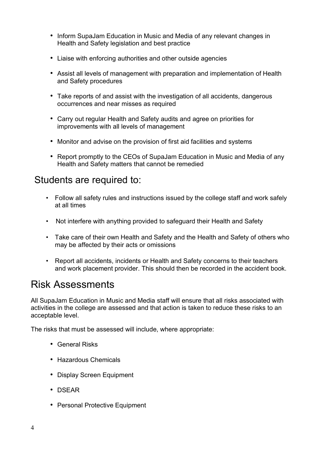- Inform SupaJam Education in Music and Media of any relevant changes in Health and Safety legislation and best practice
- Liaise with enforcing authorities and other outside agencies
- Assist all levels of management with preparation and implementation of Health and Safety procedures
- Take reports of and assist with the investigation of all accidents, dangerous occurrences and near misses as required
- Carry out regular Health and Safety audits and agree on priorities for improvements with all levels of management
- Monitor and advise on the provision of first aid facilities and systems
- Report promptly to the CEOs of SupaJam Education in Music and Media of any Health and Safety matters that cannot be remedied

## Students are required to:

- Follow all safety rules and instructions issued by the college staff and work safely at all times
- Not interfere with anything provided to safeguard their Health and Safety
- Take care of their own Health and Safety and the Health and Safety of others who may be affected by their acts or omissions
- Report all accidents, incidents or Health and Safety concerns to their teachers and work placement provider. This should then be recorded in the accident book.

# Risk Assessments

All SupaJam Education in Music and Media staff will ensure that all risks associated with activities in the college are assessed and that action is taken to reduce these risks to an acceptable level.

The risks that must be assessed will include, where appropriate:

- General Risks
- Hazardous Chemicals
- Display Screen Equipment
- DSEAR
- Personal Protective Equipment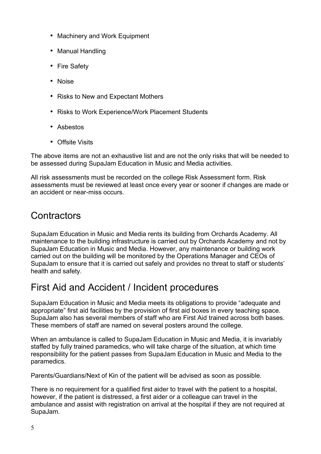- Machinery and Work Equipment
- Manual Handling
- Fire Safety
- Noise
- Risks to New and Expectant Mothers
- Risks to Work Experience/Work Placement Students
- Asbestos
- Offsite Visits

The above items are not an exhaustive list and are not the only risks that will be needed to be assessed during SupaJam Education in Music and Media activities.

All risk assessments must be recorded on the college Risk Assessment form. Risk assessments must be reviewed at least once every year or sooner if changes are made or an accident or near-miss occurs.

# Contractors

SupaJam Education in Music and Media rents its building from Orchards Academy. All maintenance to the building infrastructure is carried out by Orchards Academy and not by SupaJam Education in Music and Media. However, any maintenance or building work carried out on the building will be monitored by the Operations Manager and CEOs of SupaJam to ensure that it is carried out safely and provides no threat to staff or students' health and safety.

# First Aid and Accident / Incident procedures

SupaJam Education in Music and Media meets its obligations to provide "adequate and appropriate" first aid facilities by the provision of first aid boxes in every teaching space. SupaJam also has several members of staff who are First Aid trained across both bases. These members of staff are named on several posters around the college.

When an ambulance is called to SupaJam Education in Music and Media, it is invariably staffed by fully trained paramedics, who will take charge of the situation, at which time responsibility for the patient passes from SupaJam Education in Music and Media to the paramedics.

Parents/Guardians/Next of Kin of the patient will be advised as soon as possible.

There is no requirement for a qualified first aider to travel with the patient to a hospital, however, if the patient is distressed, a first aider or a colleague can travel in the ambulance and assist with registration on arrival at the hospital if they are not required at SupaJam.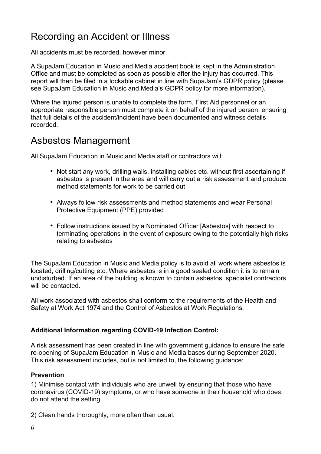# Recording an Accident or Illness

All accidents must be recorded, however minor.

A SupaJam Education in Music and Media accident book is kept in the Administration Office and must be completed as soon as possible after the injury has occurred. This report will then be filed in a lockable cabinet in line with SupaJam's GDPR policy (please see SupaJam Education in Music and Media's GDPR policy for more information).

Where the injured person is unable to complete the form, First Aid personnel or an appropriate responsible person must complete it on behalf of the injured person, ensuring that full details of the accident/incident have been documented and witness details recorded.

## Asbestos Management

All SupaJam Education in Music and Media staff or contractors will:

- Not start any work, drilling walls, installing cables etc. without first ascertaining if asbestos is present in the area and will carry out a risk assessment and produce method statements for work to be carried out
- Always follow risk assessments and method statements and wear Personal Protective Equipment (PPE) provided
- Follow instructions issued by a Nominated Officer [Asbestos] with respect to terminating operations in the event of exposure owing to the potentially high risks relating to asbestos

The SupaJam Education in Music and Media policy is to avoid all work where asbestos is located, drilling/cutting etc. Where asbestos is in a good sealed condition it is to remain undisturbed. If an area of the building is known to contain asbestos, specialist contractors will be contacted.

All work associated with asbestos shall conform to the requirements of the Health and Safety at Work Act 1974 and the Control of Asbestos at Work Regulations.

### **Additional Information regarding COVID-19 Infection Control:**

A risk assessment has been created in line with government guidance to ensure the safe re-opening of SupaJam Education in Music and Media bases during September 2020. This risk assessment includes, but is not limited to, the following guidance:

### **Prevention**

1) Minimise contact with individuals who are unwell by ensuring that those who have coronavirus (COVID-19) symptoms, or who have someone in their household who does, do not attend the setting.

2) Clean hands thoroughly, more often than usual.